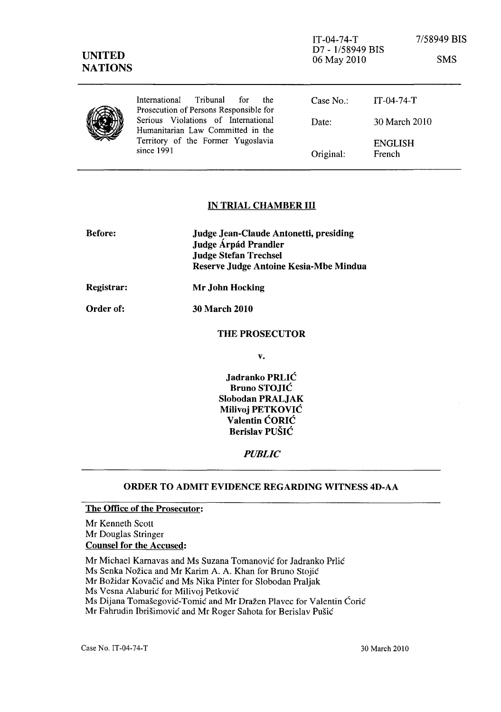| <b>UNITED</b><br><b>NATIONS</b> |                                                                                                                              | $IT-04-74-T$<br>D7 - 1/58949 BIS<br>06 May 2010 |                   | 7/58949 BIS<br><b>SMS</b> |
|---------------------------------|------------------------------------------------------------------------------------------------------------------------------|-------------------------------------------------|-------------------|---------------------------|
|                                 | International<br>Tribunal<br>the<br>for<br>Prosecution of Persons Responsible for                                            | Case $No.$ :                                    | $IT-04-74-T$      |                           |
|                                 | Serious Violations of International<br>Humanitarian Law Committed in the<br>Territory of the Former Yugoslavia<br>since 1991 | Date:                                           | 30 March 2010     |                           |
|                                 |                                                                                                                              | Original:                                       | ENGLISH<br>French |                           |

## IN TRIAL CHAMBER **III**

| <b>Before:</b>   | <b>Judge Jean-Claude Antonetti, presiding</b><br>Judge Árpád Prandler<br><b>Judge Stefan Trechsel</b><br>Reserve Judge Antoine Kesia-Mbe Mindua |
|------------------|-------------------------------------------------------------------------------------------------------------------------------------------------|
| Registrar:       | Mr John Hocking                                                                                                                                 |
| <b>Order of:</b> | <b>30 March 2010</b>                                                                                                                            |

### THE PROSECUTOR

v.

Jadranko PRLIC Bruno STOJIC Slobodan PRALJAK Milivoj PETKOVIC Valentin CORIC Berislav PUSIC

#### *PUBLIC*

#### ORDER TO ADMIT EVIDENCE REGARDING WITNESS 4D-AA

# The Office of the Prosecutor:

Mr Kenneth Scott Mr Douglas Stringer Counsel for the Accused:

Mr Michael Kamavas and Ms Suzana Tomanovic for Jadranko Prlic

Ms Senka Nožica and Mr Karim A. A. Khan for Bruno Stojić

Mr Božidar Kovačić and Ms Nika Pinter for Slobodan Praljak

Ms Vesna Alaburić for Milivoj Petković

Ms Dijana Tomašegović-Tomić and Mr Dražen Plavec for Valentin Ćorić

Mr Fahrudin Ibrišimović and Mr Roger Sahota for Berislav Pušić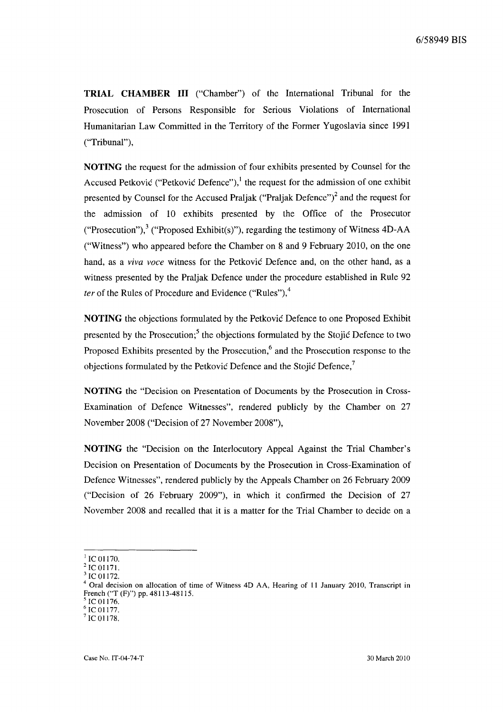**TRIAL CHAMBER III** ("Chamber") of the International Tribunal for the Prosecution of Persons Responsible for Serious Violations of International Humanitarian Law Committed in the Territory of the Former Yugoslavia since 1991 ("Tribunal"),

**NOTING** the request for the admission of four exhibits presented by Counsel for the Accused Petkovic ("Petkovic Defence"),<sup>1</sup> the request for the admission of one exhibit presented by Counsel for the Accused Praljak ("Praljak Defence")<sup>2</sup> and the request for the admission of 10 exhibits presented by the Office of the Prosecutor ("Prosecution"),<sup>3</sup> ("Proposed Exhibit(s)"), regarding the testimony of Witness 4D-AA ("Witness") who appeared before the Chamber on 8 and 9 February 2010, on the one hand, as a *viva voce* witness for the Petkovic Defence and, on the other hand, as a witness presented by the Praljak Defence under the procedure established in Rule 92 *ter* of the Rules of Procedure and Evidence ("Rules"), $4$ 

**NOTING** the objections formulated by the Petkovic Defence to one Proposed Exhibit presented by the Prosecution; $<sup>5</sup>$  the objections formulated by the Stojic Defence to two</sup> Proposed Exhibits presented by the Prosecution, $6$  and the Prosecution response to the objections formulated by the Petkovic Defence and the Stojic Defence,<sup>7</sup>

**NOTING** the "Decision on Presentation of Documents by the Prosecution in Cross-Examination of Defence Witnesses", rendered publicly by the Chamber on 27 November 2008 ("Decision of 27 November 2008"),

**NOTING** the "Decision on the Interlocutory Appeal Against the Trial Chamber's Decision on Presentation of Documents by the Prosecution in Cross-Examination of Defence Witnesses", rendered publicly by the Appeals Chamber on 26 February 2009 ("Decision of 26 February 2009"), in which it confirmed the Decision of 27 November 2008 and recalled that it is a matter for the Trial Chamber to decide on a

 $\rm ^1$  IC 01170.

 $^{2}$  IC 01171. IC 01172.

Oral decision on allocation of time of Witness 4D AA, Hearing of 11 January 2010, Transcript in French ("T (F)") pp. 48113-48115.

IC 01176. IC 01177.

IC 01178.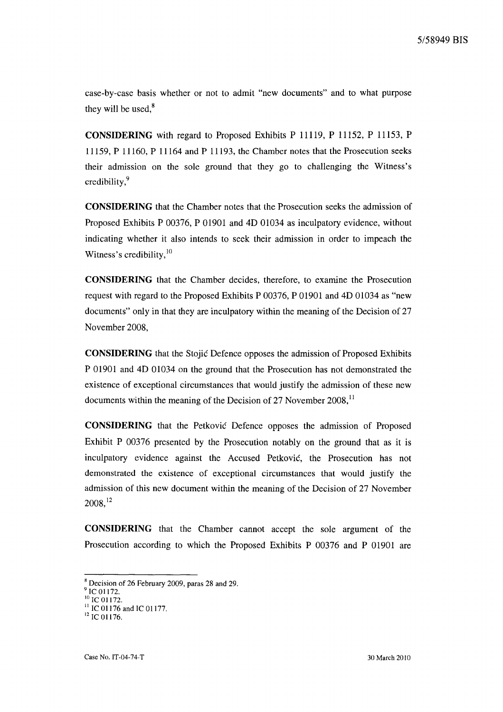case-by-case basis whether or not to admit "new documents" and to what purpose they will be used, $8$ 

**CONSIDERING** with regard to Proposed Exhibits P 11119, P 11152, P 11153, P 11159, P 11160, P 11164 and P 11193, the Chamber notes that the Prosecution seeks their admission on the sole ground that they go to challenging the Witness's credibility,<sup>9</sup>

**CONSIDERING** that the Chamber notes that the Prosecution seeks the admission of Proposed Exhibits P 00376, P 01901 and 4D 01034 as inculpatory evidence, without indicating whether it also intends to seek their admission in order to impeach the Witness's credibility, $10$ 

**CONSIDERING** that the Chamber decides, therefore, to examine the Prosecution request with regard to the Proposed Exhibits P 00376, P 01901 and 4D 01034 as "new documents" only in that they are inculpatory within the meaning of the Decision of 27 November 2008,

**CONSIDERING** that the Stojic Defence opposes the admission of Proposed Exhibits P 01901 and 4D 01034 on the ground that the Prosecution has not demonstrated the existence of exceptional circumstances that would justify the admission of these new documents within the meaning of the Decision of 27 November 2008, $^{11}$ 

**CONSIDERING** that the Petkovic Defence opposes the admission of Proposed Exhibit P 00376 presented by the Prosecution notably on the ground that as it is inculpatory evidence against the Accused Petković, the Prosecution has not demonstrated the existence of exceptional circumstances that would justify the admission of this new document within the meaning of the Decision of 27 November 2008,12

**CONSIDERING** that the Chamber cannot accept the sole argument of the Prosecution according to which the Proposed Exhibits P 00376 and P 01901 are

<sup>8</sup> Decision of 26 February 2009, paras 28 and 29.

IC 01172.

 $10$  IC 01172.

 $11$  IC 01176 and IC 01177.

 $12$  IC 01176.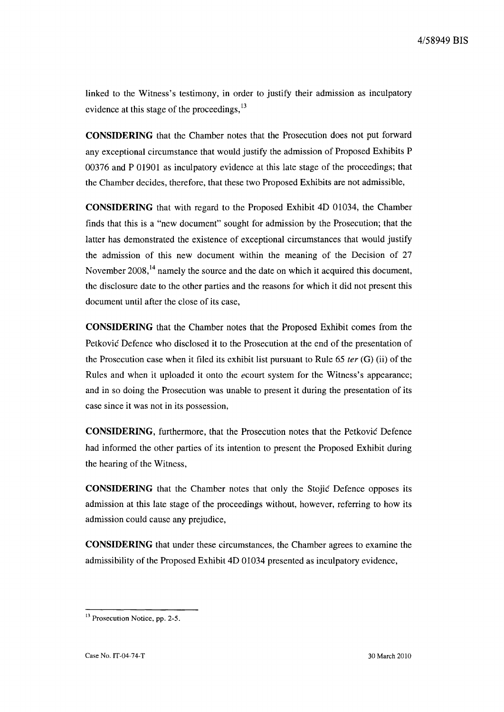linked to the Witness's testimony, in order to justify their admission as inculpatory evidence at this stage of the proceedings,<sup>13</sup>

**CONSIDERING** that the Chamber notes that the Prosecution does not put forward any exceptional circumstance that would justify the admission of Proposed Exhibits P 00376 and P 01901 as inculpatory evidence at this late stage of the proceedings; that the Chamber decides, therefore, that these two Proposed Exhibits are not admissible,

**CONSIDERING** that with regard to the Proposed Exhibit 4D 01034, the Chamber finds that this is a "new document" sought for admission by the Prosecution; that the latter has demonstrated the existence of exceptional circumstances that would justify the admission of this new document within the meaning of the Decision of 27 November  $2008$ ,<sup>14</sup> namely the source and the date on which it acquired this document, the disclosure date to the other parties and the reasons for which it did not present this document until after the close of its case,

**CONSIDERING** that the Chamber notes that the Proposed Exhibit comes from the Petkovic Defence who disclosed it to the Prosecution at the end of the presentation of the Prosecution case when it filed its exhibit list pursuant to Rule 65 *ter* (G) (ii) of the Rules and when it uploaded it onto the *ecourt* system for the Witness's appearance; and in so doing the Prosecution was unable to present it during the presentation of its case since it was not in its possession,

**CONSIDERING,** furthermore, that the Prosecution notes that the Petkovic Defence had informed the other parties of its intention to present the Proposed Exhibit during the hearing of the Witness,

**CONSIDERING** that the Chamber notes that only the Stojic Defence opposes its admission at this late stage of the proceedings without, however, referring to how its admission could cause any prejudice,

**CONSIDERING** that under these circumstances, the Chamber agrees to examine the admissibility of the Proposed Exhibit 4D 01034 presented as inculpatory evidence,

<sup>&</sup>lt;sup>13</sup> Prosecution Notice, pp. 2-5.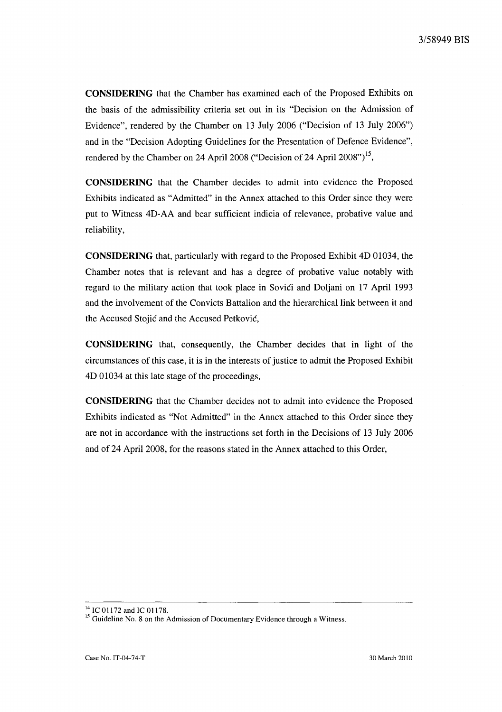**CONSIDERING** that the Chamber has examined each of the Proposed Exhibits on the basis of the admissibility criteria set out in its "Decision on the Admission of Evidence", rendered by the Chamber on 13 July 2006 ("Decision of 13 July 2006") and in the "Decision Adopting Guidelines for the Presentation of Defence Evidence", rendered by the Chamber on 24 April 2008 ("Decision of 24 April 2008")<sup>15</sup>,

**CONSIDERING** that the Chamber decides to admit into evidence the Proposed Exhibits indicated as "Admitted" in the Annex attached to this Order since they were put to Witness 4D-AA and bear sufficient indicia of relevance, probative value and reliability,

**CONSIDERING** that, particularly with regard to the Proposed Exhibit 4D 01034, the Chamber notes that is relevant and has a degree of probative value notably with regard to the military action that took place in Sovići and Doljani on 17 April 1993 and the involvement of the Convicts Battalion and the hierarchical link between it and the Accused Stojic and the Accused Petkovic,

**CONSIDERING** that, consequently, the Chamber decides that in light of the circumstances of this case, it is in the interests of justice to admit the Proposed Exhibit 4D 01034 at this late stage of the proceedings,

**CONSIDERING** that the Chamber decides not to admit into evidence the Proposed Exhibits indicated as "Not Admitted" in the Annex attached to this Order since they are not in accordance with the instructions set forth in the Decisions of 13 July 2006 and of 24 April 2008, for the reasons stated in the Annex attached to this Order,

<sup>&</sup>lt;sup>14</sup> IC 01172 and IC 01178.

<sup>&</sup>lt;sup>15</sup> Guideline No. 8 on the Admission of Documentary Evidence through a Witness.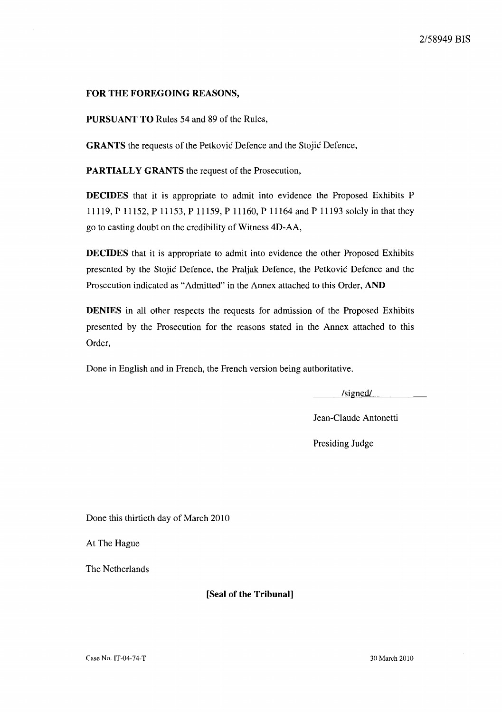## **FOR THE FOREGOING REASONS,**

**PURSUANT TO** Rules 54 and 89 of the Rules,

**GRANTS** the requests of the Petkovic Defence and the Stojic Defence,

**PARTIALLY GRANTS** the request of the Prosecution,

**DECIDES** that it is appropriate to admit into evidence the Proposed Exhibits P 11119, P 11152, P 11153, P 11159, P 11160, P 11164 and P 11193 solely in that they go to casting doubt on the credibility of Witness 4D-AA,

**DECIDES** that it is appropriate to admit into evidence the other Proposed Exhibits presented by the Stojic Defence, the Praljak Defence, the Petkovic Defence and the Prosecution indicated as "Admitted" in the Annex attached to this Order, **AND** 

**DENIES** in all other respects the requests for admission of the Proposed Exhibits presented by the Prosecution for the reasons stated in the Annex attached to this Order,

Done in English and in French, the French version being authoritative.

/signed!

Jean-Claude Antonetti

Presiding Judge

Done this thirtieth day of March 2010

At The Hague

The Netherlands

**[Seal of the Tribunal]**